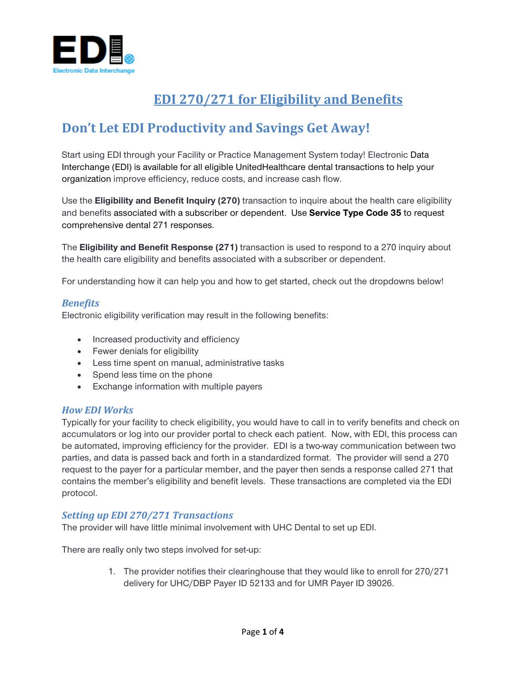

# **EDI 270/271 for Eligibility and Benefits**

# **Don't Let EDI Productivity and Savings Get Away!**

Start using EDI through your Facility or Practice Management System today! Electronic Data Interchange (EDI) is available for all eligible UnitedHealthcare dental transactions to help your organization improve efficiency, reduce costs, and increase cash flow.

Use the **Eligibility and Benefit Inquiry (270)** transaction to inquire about the health care eligibility and benefits associated with a subscriber or dependent. Use **Service Type Code 35** to request comprehensive dental 271 responses.

The **Eligibility and Benefit Response (271)** transaction is used to respond to a 270 inquiry about the health care eligibility and benefits associated with a subscriber or dependent.

For understanding how it can help you and how to get started, check out the dropdowns below!

### *Benefits*

Electronic eligibility verification may result in the following benefits:

- Increased productivity and efficiency
- Fewer denials for eligibility
- Less time spent on manual, administrative tasks
- Spend less time on the phone
- Exchange information with multiple payers

### *How EDI Works*

Typically for your facility to check eligibility, you would have to call in to verify benefits and check on accumulators or log into our provider portal to check each patient. Now, with EDI, this process can be automated, improving efficiency for the provider. EDI is a two-way communication between two parties, and data is passed back and forth in a standardized format. The provider will send a 270 request to the payer for a particular member, and the payer then sends a response called 271 that contains the member's eligibility and benefit levels. These transactions are completed via the EDI protocol.

### *Setting up EDI 270/271 Transactions*

The provider will have little minimal involvement with UHC Dental to set up EDI.

There are really only two steps involved for set-up:

1. The provider notifies their clearinghouse that they would like to enroll for 270/271 delivery for UHC/DBP Payer ID 52133 and for UMR Payer ID 39026.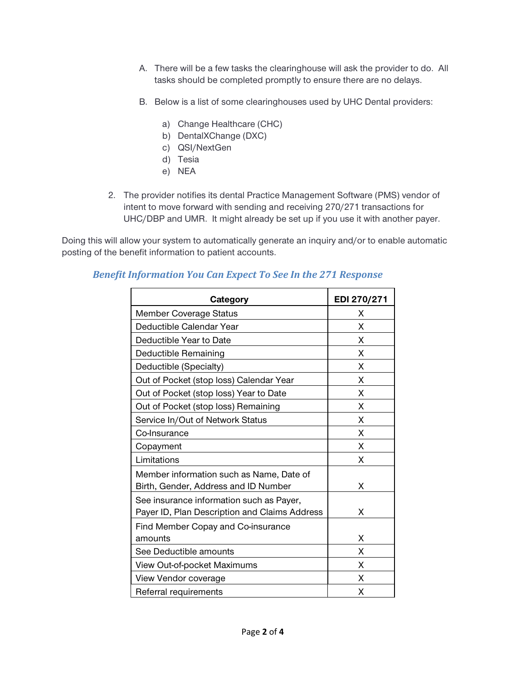- A. There will be a few tasks the clearinghouse will ask the provider to do. All tasks should be completed promptly to ensure there are no delays.
- B. Below is a list of some clearinghouses used by UHC Dental providers:
	- a) Change Healthcare (CHC)
	- b) DentalXChange (DXC)
	- c) QSI/NextGen
	- d) Tesia
	- e) NEA
- 2. The provider notifies its dental Practice Management Software (PMS) vendor of intent to move forward with sending and receiving 270/271 transactions for UHC/DBP and UMR. It might already be set up if you use it with another payer.

Doing this will allow your system to automatically generate an inquiry and/or to enable automatic posting of the benefit information to patient accounts.

| Category                                                                                  | EDI 270/271 |
|-------------------------------------------------------------------------------------------|-------------|
| <b>Member Coverage Status</b>                                                             | X           |
| Deductible Calendar Year                                                                  | X           |
| Deductible Year to Date                                                                   | X           |
| <b>Deductible Remaining</b>                                                               | X           |
| Deductible (Specialty)                                                                    | X           |
| Out of Pocket (stop loss) Calendar Year                                                   | X           |
| Out of Pocket (stop loss) Year to Date                                                    | X           |
| Out of Pocket (stop loss) Remaining                                                       | X           |
| Service In/Out of Network Status                                                          | X           |
| Co-Insurance                                                                              | X           |
| Copayment                                                                                 | X           |
| Limitations                                                                               | X           |
| Member information such as Name, Date of<br>Birth, Gender, Address and ID Number          | X           |
| See insurance information such as Payer,<br>Payer ID, Plan Description and Claims Address | X           |
| Find Member Copay and Co-insurance<br>amounts                                             | X           |
| See Deductible amounts                                                                    | X           |
| View Out-of-pocket Maximums                                                               | X           |
| View Vendor coverage                                                                      | X           |
| Referral requirements                                                                     | X           |

### *Benefit Information You Can Expect To See In the 271 Response*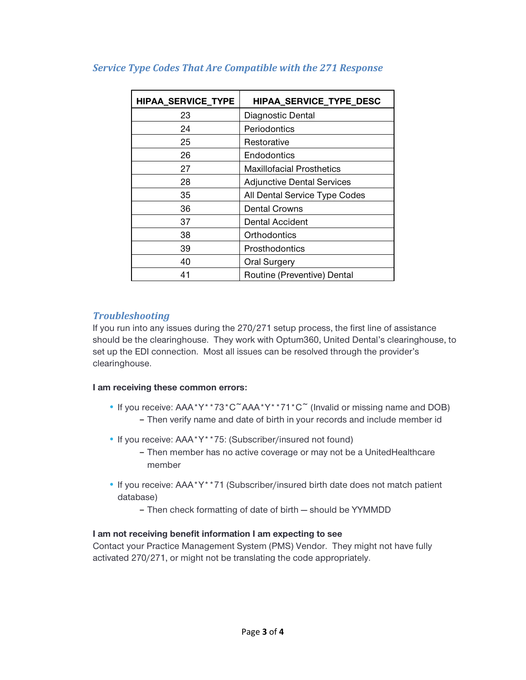| <b>HIPAA_SERVICE_TYPE</b> | HIPAA_SERVICE_TYPE_DESC           |
|---------------------------|-----------------------------------|
| 23                        | Diagnostic Dental                 |
| 24                        | Periodontics                      |
| 25                        | Restorative                       |
| 26                        | Endodontics                       |
| 27                        | <b>Maxillofacial Prosthetics</b>  |
| 28                        | <b>Adjunctive Dental Services</b> |
| 35                        | All Dental Service Type Codes     |
| 36                        | <b>Dental Crowns</b>              |
| 37                        | <b>Dental Accident</b>            |
| 38                        | Orthodontics                      |
| 39                        | Prosthodontics                    |
| 40                        | Oral Surgery                      |
| 41                        | Routine (Preventive) Dental       |

## *Service Type Codes That Are Compatible with the 271 Response*

## *Troubleshooting*

If you run into any issues during the 270/271 setup process, the first line of assistance should be the clearinghouse. They work with Optum360, United Dental's clearinghouse, to set up the EDI connection. Most all issues can be resolved through the provider's clearinghouse.

## **I am receiving these common errors:**

- If you receive: AAA\*Y\*\*73\*C<sup>~</sup>AAA\*Y\*\*71\*C<sup>~</sup> (Invalid or missing name and DOB) – Then verify name and date of birth in your records and include member id
- If you receive: AAA\*Y\*\*75: (Subscriber/insured not found) – Then member has no active coverage or may not be a UnitedHealthcare member
- If you receive: AAA\*Y\*\*71 (Subscriber/insured birth date does not match patient database)
	- Then check formatting of date of birth should be YYMMDD

## **I am not receiving benefit information I am expecting to see**

Contact your Practice Management System (PMS) Vendor. They might not have fully activated 270/271, or might not be translating the code appropriately.